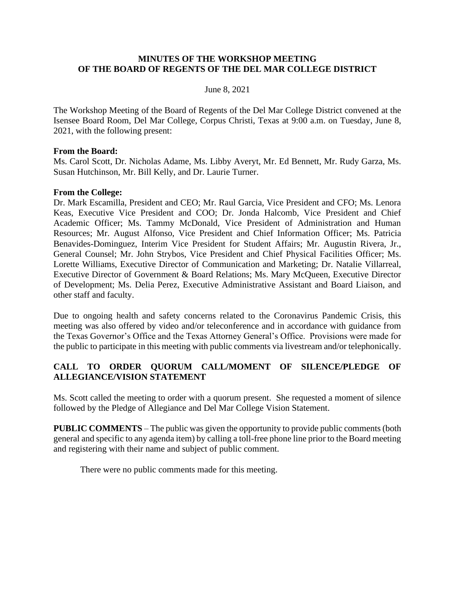### **MINUTES OF THE WORKSHOP MEETING OF THE BOARD OF REGENTS OF THE DEL MAR COLLEGE DISTRICT**

#### June 8, 2021

The Workshop Meeting of the Board of Regents of the Del Mar College District convened at the Isensee Board Room, Del Mar College, Corpus Christi, Texas at 9:00 a.m. on Tuesday, June 8, 2021, with the following present:

#### **From the Board:**

Ms. Carol Scott, Dr. Nicholas Adame, Ms. Libby Averyt, Mr. Ed Bennett, Mr. Rudy Garza, Ms. Susan Hutchinson, Mr. Bill Kelly, and Dr. Laurie Turner.

#### **From the College:**

Dr. Mark Escamilla, President and CEO; Mr. Raul Garcia, Vice President and CFO; Ms. Lenora Keas, Executive Vice President and COO; Dr. Jonda Halcomb, Vice President and Chief Academic Officer; Ms. Tammy McDonald, Vice President of Administration and Human Resources; Mr. August Alfonso, Vice President and Chief Information Officer; Ms. Patricia Benavides-Dominguez, Interim Vice President for Student Affairs; Mr. Augustin Rivera, Jr., General Counsel; Mr. John Strybos, Vice President and Chief Physical Facilities Officer; Ms. Lorette Williams, Executive Director of Communication and Marketing; Dr. Natalie Villarreal, Executive Director of Government & Board Relations; Ms. Mary McQueen, Executive Director of Development; Ms. Delia Perez, Executive Administrative Assistant and Board Liaison, and other staff and faculty.

Due to ongoing health and safety concerns related to the Coronavirus Pandemic Crisis, this meeting was also offered by video and/or teleconference and in accordance with guidance from the Texas Governor's Office and the Texas Attorney General's Office. Provisions were made for the public to participate in this meeting with public comments via livestream and/or telephonically.

## **CALL TO ORDER QUORUM CALL/MOMENT OF SILENCE/PLEDGE OF ALLEGIANCE/VISION STATEMENT**

Ms. Scott called the meeting to order with a quorum present. She requested a moment of silence followed by the Pledge of Allegiance and Del Mar College Vision Statement.

**PUBLIC COMMENTS** – The public was given the opportunity to provide public comments (both general and specific to any agenda item) by calling a toll-free phone line prior to the Board meeting and registering with their name and subject of public comment.

There were no public comments made for this meeting.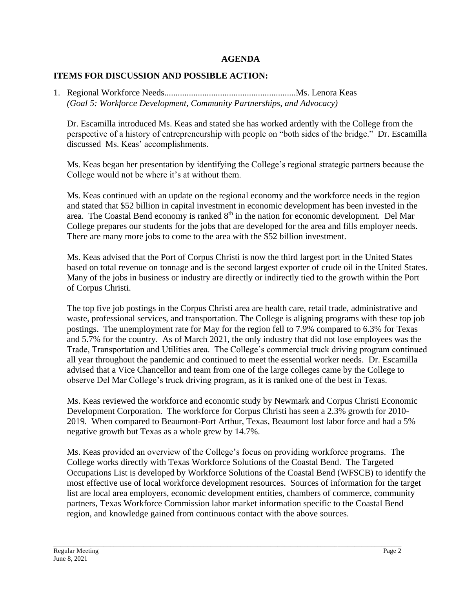# **AGENDA**

# **ITEMS FOR DISCUSSION AND POSSIBLE ACTION:**

1. Regional Workforce Needs...........................................................Ms. Lenora Keas *(Goal 5: Workforce Development, Community Partnerships, and Advocacy)* 

Dr. Escamilla introduced Ms. Keas and stated she has worked ardently with the College from the perspective of a history of entrepreneurship with people on "both sides of the bridge." Dr. Escamilla discussed Ms. Keas' accomplishments.

Ms. Keas began her presentation by identifying the College's regional strategic partners because the College would not be where it's at without them.

Ms. Keas continued with an update on the regional economy and the workforce needs in the region and stated that \$52 billion in capital investment in economic development has been invested in the area. The Coastal Bend economy is ranked  $8<sup>th</sup>$  in the nation for economic development. Del Mar College prepares our students for the jobs that are developed for the area and fills employer needs. There are many more jobs to come to the area with the \$52 billion investment.

Ms. Keas advised that the Port of Corpus Christi is now the third largest port in the United States based on total revenue on tonnage and is the second largest exporter of crude oil in the United States. Many of the jobs in business or industry are directly or indirectly tied to the growth within the Port of Corpus Christi.

The top five job postings in the Corpus Christi area are health care, retail trade, administrative and waste, professional services, and transportation. The College is aligning programs with these top job postings. The unemployment rate for May for the region fell to 7.9% compared to 6.3% for Texas and 5.7% for the country. As of March 2021, the only industry that did not lose employees was the Trade, Transportation and Utilities area. The College's commercial truck driving program continued all year throughout the pandemic and continued to meet the essential worker needs. Dr. Escamilla advised that a Vice Chancellor and team from one of the large colleges came by the College to observe Del Mar College's truck driving program, as it is ranked one of the best in Texas.

Ms. Keas reviewed the workforce and economic study by Newmark and Corpus Christi Economic Development Corporation. The workforce for Corpus Christi has seen a 2.3% growth for 2010- 2019. When compared to Beaumont-Port Arthur, Texas, Beaumont lost labor force and had a 5% negative growth but Texas as a whole grew by 14.7%.

Ms. Keas provided an overview of the College's focus on providing workforce programs. The College works directly with Texas Workforce Solutions of the Coastal Bend. The Targeted Occupations List is developed by Workforce Solutions of the Coastal Bend (WFSCB) to identify the most effective use of local workforce development resources. Sources of information for the target list are local area employers, economic development entities, chambers of commerce, community partners, Texas Workforce Commission labor market information specific to the Coastal Bend region, and knowledge gained from continuous contact with the above sources.

\_\_\_\_\_\_\_\_\_\_\_\_\_\_\_\_\_\_\_\_\_\_\_\_\_\_\_\_\_\_\_\_\_\_\_\_\_\_\_\_\_\_\_\_\_\_\_\_\_\_\_\_\_\_\_\_\_\_\_\_\_\_\_\_\_\_\_\_\_\_\_\_\_\_\_\_\_\_\_\_\_\_\_\_\_\_\_\_\_\_\_\_\_\_\_\_\_\_\_\_\_\_\_\_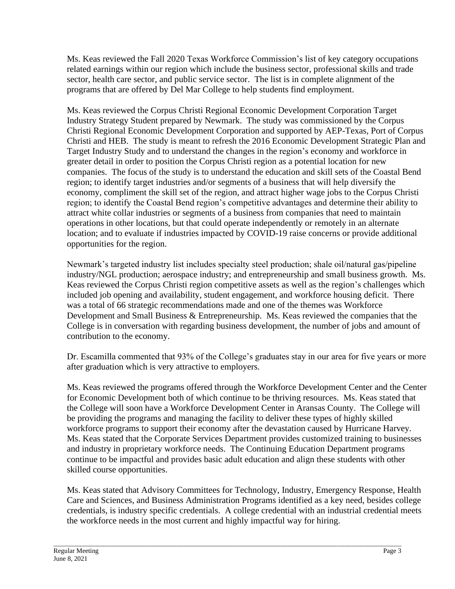Ms. Keas reviewed the Fall 2020 Texas Workforce Commission's list of key category occupations related earnings within our region which include the business sector, professional skills and trade sector, health care sector, and public service sector. The list is in complete alignment of the programs that are offered by Del Mar College to help students find employment.

Ms. Keas reviewed the Corpus Christi Regional Economic Development Corporation Target Industry Strategy Student prepared by Newmark. The study was commissioned by the Corpus Christi Regional Economic Development Corporation and supported by AEP-Texas, Port of Corpus Christi and HEB. The study is meant to refresh the 2016 Economic Development Strategic Plan and Target Industry Study and to understand the changes in the region's economy and workforce in greater detail in order to position the Corpus Christi region as a potential location for new companies. The focus of the study is to understand the education and skill sets of the Coastal Bend region; to identify target industries and/or segments of a business that will help diversify the economy, compliment the skill set of the region, and attract higher wage jobs to the Corpus Christi region; to identify the Coastal Bend region's competitive advantages and determine their ability to attract white collar industries or segments of a business from companies that need to maintain operations in other locations, but that could operate independently or remotely in an alternate location; and to evaluate if industries impacted by COVID-19 raise concerns or provide additional opportunities for the region.

Newmark's targeted industry list includes specialty steel production; shale oil/natural gas/pipeline industry/NGL production; aerospace industry; and entrepreneurship and small business growth. Ms. Keas reviewed the Corpus Christi region competitive assets as well as the region's challenges which included job opening and availability, student engagement, and workforce housing deficit. There was a total of 66 strategic recommendations made and one of the themes was Workforce Development and Small Business & Entrepreneurship. Ms. Keas reviewed the companies that the College is in conversation with regarding business development, the number of jobs and amount of contribution to the economy.

Dr. Escamilla commented that 93% of the College's graduates stay in our area for five years or more after graduation which is very attractive to employers.

Ms. Keas reviewed the programs offered through the Workforce Development Center and the Center for Economic Development both of which continue to be thriving resources. Ms. Keas stated that the College will soon have a Workforce Development Center in Aransas County. The College will be providing the programs and managing the facility to deliver these types of highly skilled workforce programs to support their economy after the devastation caused by Hurricane Harvey. Ms. Keas stated that the Corporate Services Department provides customized training to businesses and industry in proprietary workforce needs. The Continuing Education Department programs continue to be impactful and provides basic adult education and align these students with other skilled course opportunities.

Ms. Keas stated that Advisory Committees for Technology, Industry, Emergency Response, Health Care and Sciences, and Business Administration Programs identified as a key need, besides college credentials, is industry specific credentials. A college credential with an industrial credential meets the workforce needs in the most current and highly impactful way for hiring.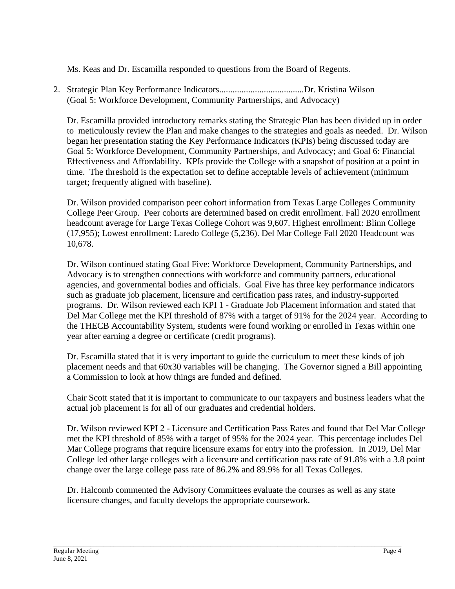Ms. Keas and Dr. Escamilla responded to questions from the Board of Regents.

2. Strategic Plan Key Performance Indicators......................................Dr. Kristina Wilson (Goal 5: Workforce Development, Community Partnerships, and Advocacy)

Dr. Escamilla provided introductory remarks stating the Strategic Plan has been divided up in order to meticulously review the Plan and make changes to the strategies and goals as needed. Dr. Wilson began her presentation stating the Key Performance Indicators (KPIs) being discussed today are Goal 5: Workforce Development, Community Partnerships, and Advocacy; and Goal 6: Financial Effectiveness and Affordability. KPIs provide the College with a snapshot of position at a point in time. The threshold is the expectation set to define acceptable levels of achievement (minimum target; frequently aligned with baseline).

Dr. Wilson provided comparison peer cohort information from Texas Large Colleges Community College Peer Group. Peer cohorts are determined based on credit enrollment. Fall 2020 enrollment headcount average for Large Texas College Cohort was 9,607. Highest enrollment: Blinn College (17,955); Lowest enrollment: Laredo College (5,236). Del Mar College Fall 2020 Headcount was 10,678.

Dr. Wilson continued stating Goal Five: Workforce Development, Community Partnerships, and Advocacy is to strengthen connections with workforce and community partners, educational agencies, and governmental bodies and officials. Goal Five has three key performance indicators such as graduate job placement, licensure and certification pass rates, and industry-supported programs. Dr. Wilson reviewed each KPI 1 - Graduate Job Placement information and stated that Del Mar College met the KPI threshold of 87% with a target of 91% for the 2024 year. According to the THECB Accountability System, students were found working or enrolled in Texas within one year after earning a degree or certificate (credit programs).

Dr. Escamilla stated that it is very important to guide the curriculum to meet these kinds of job placement needs and that 60x30 variables will be changing. The Governor signed a Bill appointing a Commission to look at how things are funded and defined.

Chair Scott stated that it is important to communicate to our taxpayers and business leaders what the actual job placement is for all of our graduates and credential holders.

Dr. Wilson reviewed KPI 2 - Licensure and Certification Pass Rates and found that Del Mar College met the KPI threshold of 85% with a target of 95% for the 2024 year. This percentage includes Del Mar College programs that require licensure exams for entry into the profession. In 2019, Del Mar College led other large colleges with a licensure and certification pass rate of 91.8% with a 3.8 point change over the large college pass rate of 86.2% and 89.9% for all Texas Colleges.

Dr. Halcomb commented the Advisory Committees evaluate the courses as well as any state licensure changes, and faculty develops the appropriate coursework.

\_\_\_\_\_\_\_\_\_\_\_\_\_\_\_\_\_\_\_\_\_\_\_\_\_\_\_\_\_\_\_\_\_\_\_\_\_\_\_\_\_\_\_\_\_\_\_\_\_\_\_\_\_\_\_\_\_\_\_\_\_\_\_\_\_\_\_\_\_\_\_\_\_\_\_\_\_\_\_\_\_\_\_\_\_\_\_\_\_\_\_\_\_\_\_\_\_\_\_\_\_\_\_\_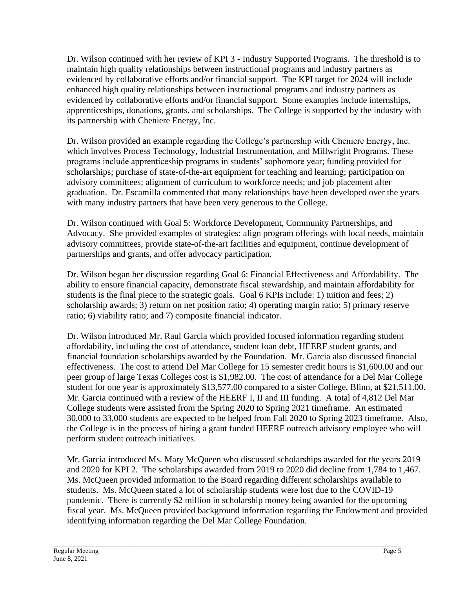Dr. Wilson continued with her review of KPI 3 - Industry Supported Programs. The threshold is to maintain high quality relationships between instructional programs and industry partners as evidenced by collaborative efforts and/or financial support. The KPI target for 2024 will include enhanced high quality relationships between instructional programs and industry partners as evidenced by collaborative efforts and/or financial support. Some examples include internships, apprenticeships, donations, grants, and scholarships. The College is supported by the industry with its partnership with Cheniere Energy, Inc.

Dr. Wilson provided an example regarding the College's partnership with Cheniere Energy, Inc. which involves Process Technology, Industrial Instrumentation, and Millwright Programs. These programs include apprenticeship programs in students' sophomore year; funding provided for scholarships; purchase of state-of-the-art equipment for teaching and learning; participation on advisory committees; alignment of curriculum to workforce needs; and job placement after graduation. Dr. Escamilla commented that many relationships have been developed over the years with many industry partners that have been very generous to the College.

Dr. Wilson continued with Goal 5: Workforce Development, Community Partnerships, and Advocacy. She provided examples of strategies: align program offerings with local needs, maintain advisory committees, provide state-of-the-art facilities and equipment, continue development of partnerships and grants, and offer advocacy participation.

Dr. Wilson began her discussion regarding Goal 6: Financial Effectiveness and Affordability. The ability to ensure financial capacity, demonstrate fiscal stewardship, and maintain affordability for students is the final piece to the strategic goals. Goal 6 KPIs include: 1) tuition and fees; 2) scholarship awards; 3) return on net position ratio; 4) operating margin ratio; 5) primary reserve ratio; 6) viability ratio; and 7) composite financial indicator.

Dr. Wilson introduced Mr. Raul Garcia which provided focused information regarding student affordability, including the cost of attendance, student loan debt, HEERF student grants, and financial foundation scholarships awarded by the Foundation. Mr. Garcia also discussed financial effectiveness. The cost to attend Del Mar College for 15 semester credit hours is \$1,600.00 and our peer group of large Texas Colleges cost is \$1,982.00. The cost of attendance for a Del Mar College student for one year is approximately \$13,577.00 compared to a sister College, Blinn, at \$21,511.00. Mr. Garcia continued with a review of the HEERF I, II and III funding. A total of 4,812 Del Mar College students were assisted from the Spring 2020 to Spring 2021 timeframe. An estimated 30,000 to 33,000 students are expected to be helped from Fall 2020 to Spring 2023 timeframe. Also, the College is in the process of hiring a grant funded HEERF outreach advisory employee who will perform student outreach initiatives.

Mr. Garcia introduced Ms. Mary McQueen who discussed scholarships awarded for the years 2019 and 2020 for KPI 2. The scholarships awarded from 2019 to 2020 did decline from 1,784 to 1,467. Ms. McQueen provided information to the Board regarding different scholarships available to students. Ms. McQueen stated a lot of scholarship students were lost due to the COVID-19 pandemic. There is currently \$2 million in scholarship money being awarded for the upcoming fiscal year. Ms. McQueen provided background information regarding the Endowment and provided identifying information regarding the Del Mar College Foundation.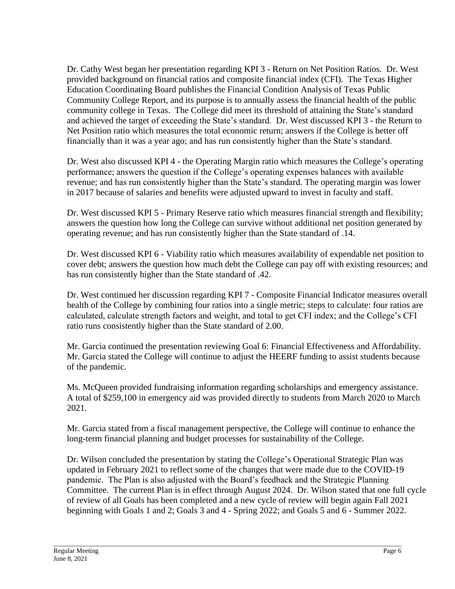Dr. Cathy West began her presentation regarding KPI 3 - Return on Net Position Ratios. Dr. West provided background on financial ratios and composite financial index (CFI). The Texas Higher Education Coordinating Board publishes the Financial Condition Analysis of Texas Public Community College Report, and its purpose is to annually assess the financial health of the public community college in Texas. The College did meet its threshold of attaining the State's standard and achieved the target of exceeding the State's standard. Dr. West discussed KPI 3 - the Return to Net Position ratio which measures the total economic return; answers if the College is better off financially than it was a year ago; and has run consistently higher than the State's standard.

Dr. West also discussed KPI 4 - the Operating Margin ratio which measures the College's operating performance; answers the question if the College's operating expenses balances with available revenue; and has run consistently higher than the State's standard. The operating margin was lower in 2017 because of salaries and benefits were adjusted upward to invest in faculty and staff.

Dr. West discussed KPI 5 - Primary Reserve ratio which measures financial strength and flexibility; answers the question how long the College can survive without additional net position generated by operating revenue; and has run consistently higher than the State standard of .14.

Dr. West discussed KPI 6 - Viability ratio which measures availability of expendable net position to cover debt; answers the question how much debt the College can pay off with existing resources; and has run consistently higher than the State standard of .42.

Dr. West continued her discussion regarding KPI 7 - Composite Financial Indicator measures overall health of the College by combining four ratios into a single metric; steps to calculate: four ratios are calculated, calculate strength factors and weight, and total to get CFI index; and the College's CFI ratio runs consistently higher than the State standard of 2.00.

Mr. Garcia continued the presentation reviewing Goal 6: Financial Effectiveness and Affordability. Mr. Garcia stated the College will continue to adjust the HEERF funding to assist students because of the pandemic.

Ms. McQueen provided fundraising information regarding scholarships and emergency assistance. A total of \$259,100 in emergency aid was provided directly to students from March 2020 to March 2021.

Mr. Garcia stated from a fiscal management perspective, the College will continue to enhance the long-term financial planning and budget processes for sustainability of the College.

Dr. Wilson concluded the presentation by stating the College's Operational Strategic Plan was updated in February 2021 to reflect some of the changes that were made due to the COVID-19 pandemic. The Plan is also adjusted with the Board's feedback and the Strategic Planning Committee. The current Plan is in effect through August 2024. Dr. Wilson stated that one full cycle of review of all Goals has been completed and a new cycle of review will begin again Fall 2021 beginning with Goals 1 and 2; Goals 3 and 4 - Spring 2022; and Goals 5 and 6 - Summer 2022.